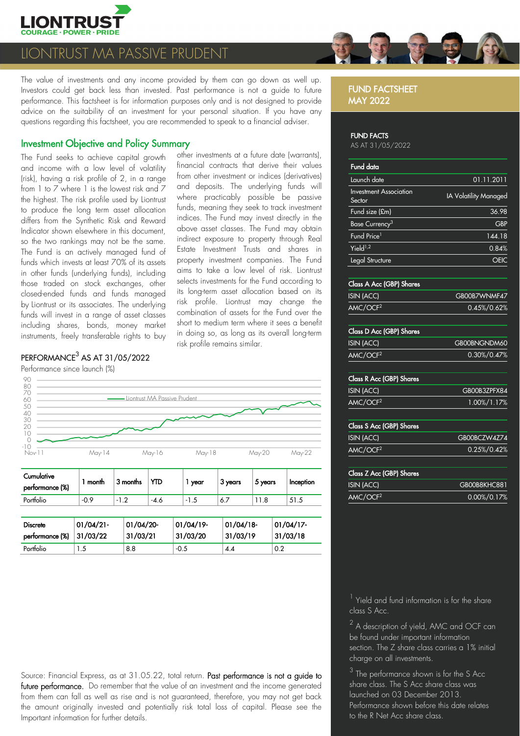

# NTRUST MA PASSIVE PRUDENT

The value of investments and any income provided by them can go down as well up. Investors could get back less than invested. Past performance is not a guide to future performance. This factsheet is for information purposes only and is not designed to provide advice on the suitability of an investment for your personal situation. If you have any questions regarding this factsheet, you are recommended to speak to a financial adviser.

# Investment Objective and Policy Summary

The Fund seeks to achieve capital growth and income with a low level of volatility (risk), having a risk profile of 2, in a range from 1 to 7 where 1 is the lowest risk and 7 the highest. The risk profile used by Liontrust to produce the long term asset allocation differs from the Synthetic Risk and Reward Indicator shown elsewhere in this document, so the two rankings may not be the same. The Fund is an actively managed fund of funds which invests at least 70% of its assets in other funds (underlying funds), including those traded on stock exchanges, other closed/ended funds and funds managed by Liontrust or its associates. The underlying funds will invest in a range of asset classes including shares, bonds, money market instruments, freely transferable rights to buy

# $\mathsf{PERFORMANCE}^3$  AS AT 31/05/2022

Performance since launch (%)



other investments at a future date (warrants), financial contracts that derive their values from other investment or indices (derivatives)



| <b>Complete</b><br>performance (%) | month  | 3 months                                             | YTD  | year                             | 3 years | 5 years | Inception |
|------------------------------------|--------|------------------------------------------------------|------|----------------------------------|---------|---------|-----------|
| Portfolio                          | $-0.9$ | $\overline{\phantom{0}}$<br>$\overline{\phantom{a}}$ | -4.6 | د. ا<br>$\overline{\phantom{0}}$ | 0.,     |         | ن. ا ب    |

| <b>Discrete</b>             | 01/04/21 | 01/04/20- | $01/04/19$ - | 01/04/18 | 01/04/17 |
|-----------------------------|----------|-----------|--------------|----------|----------|
| performance $(\%)$ 31/03/22 |          | 31/03/21  | 31/03/20     | 31/03/19 | 31/03/18 |
| Portfolio                   |          | 8.8       | $-0.5$       | 4.4      | 0.2      |

Source: Financial Express, as at 31.05.22, total return. Past performance is not a guide to future performance. Do remember that the value of an investment and the income generated from them can fall as well as rise and is not guaranteed, therefore, you may not get back the amount originally invested and potentially risk total loss of capital. Please see the Important information for further details.

# FUND FACTSHEET MAY 2022

#### FUND FACTS

AS AT 31/05/2022

| Fund data                               |                       |
|-----------------------------------------|-----------------------|
| Launch date                             | 01.11.2011            |
| <b>Investment Association</b><br>Sector | IA Volatility Managec |
| Fund size (£m)                          | 36.98                 |
| Base Currency <sup>3</sup>              | <b>GBF</b>            |
| Fund Price <sup>1</sup>                 | 144.18                |
| Yield <sup>1,2</sup>                    | 0.84%                 |
| Legal Structure                         |                       |
|                                         |                       |

| Class A Acc (GBP) Shares |                 |  |  |
|--------------------------|-----------------|--|--|
| <b>ISIN (ACC)</b>        | GB00B7WNMF47    |  |  |
| AMC/OCF <sup>2</sup>     | $0.45\%/0.62\%$ |  |  |

| Class D Acc (GBP) Shares |              |  |  |
|--------------------------|--------------|--|--|
| <b>ISIN (ACC)</b>        | GB00BNGNDM60 |  |  |
| AMC/OCF <sup>2</sup>     | 0.30%/0.47%  |  |  |
|                          |              |  |  |

| <b>Class R Acc (GBP) Shares</b> |              |
|---------------------------------|--------------|
| <b>ISIN (ACC)</b>               | GB00B3ZPFX84 |
| AMC/OCF <sup>2</sup>            | 1.00%/1.17%  |
|                                 |              |
| <b>Class S Acc (GBP) Shares</b> |              |
| <b>ISIN (ACC)</b>               | GB00BCZW4Z74 |

| Class Z Acc (GBP) Shares<br><b>ISIN (ACC)</b> | GB00B8KHC881 |
|-----------------------------------------------|--------------|
| AMC/OCF <sup>2</sup>                          | 0.00%/0.17%  |

AMC/OCF<sup>2</sup> 0.25%/0.42%

<sup>1</sup> Yield and fund information is for the share class S Acc.

 $^2$  A description of yield, AMC and OCF can be found under important information section. The Z share class carries a 1% initial charge on all investments.

 $3$  The performance shown is for the S Acc share class. The S Acc share class was launched on 03 December 2013. Performance shown before this date relates to the R Net Acc share class.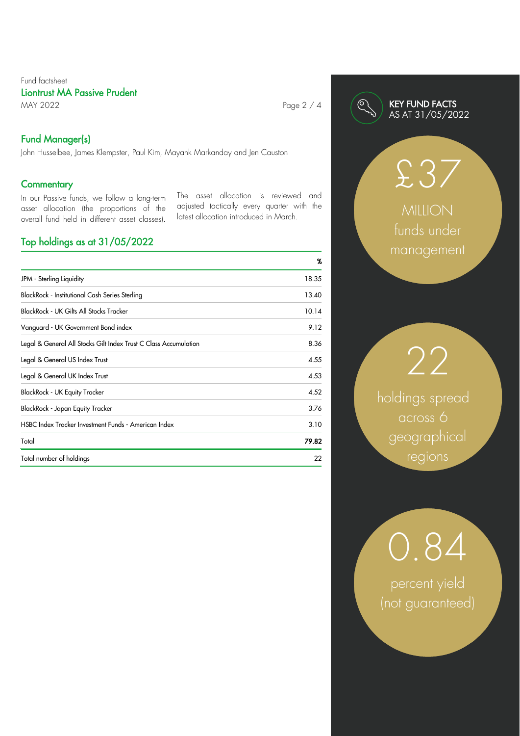# Fund factsheet Liontrust MA Passive Prudent

MAY 2022 **Page 2 / 4** 

# Fund Manager(s)

John Husselbee, James Klempster, Paul Kim, Mayank Markanday and Jen Causton

# **Commentary**

In our Passive funds, we follow a long-term asset allocation (the proportions of the overall fund held in different asset classes). The asset allocation is reviewed and adjusted tactically every quarter with the latest allocation introduced in March.

# Top holdings as at 31/05/2022

|                                                                  | %     |
|------------------------------------------------------------------|-------|
| JPM - Sterling Liquidity                                         | 18.35 |
| BlackRock - Institutional Cash Series Sterling                   | 13.40 |
| <b>BlackRock - UK Gilts All Stocks Tracker</b>                   | 10.14 |
| Vanguard - UK Government Bond index                              | 9.12  |
| Legal & General All Stocks Gilt Index Trust C Class Accumulation | 8.36  |
| Legal & General US Index Trust                                   | 4.55  |
| Legal & General UK Index Trust                                   | 4.53  |
| <b>BlackRock - UK Equity Tracker</b>                             | 4.52  |
| BlackRock - Japan Equity Tracker                                 | 3.76  |
| HSBC Index Tracker Investment Funds - American Index             | 3.10  |
| Total                                                            | 79.82 |
| Total number of holdings                                         | 22    |



# £37

MILLION funds under management

holdings spread across 6 geographical regions

22

0.84

percent yield (not guaranteed)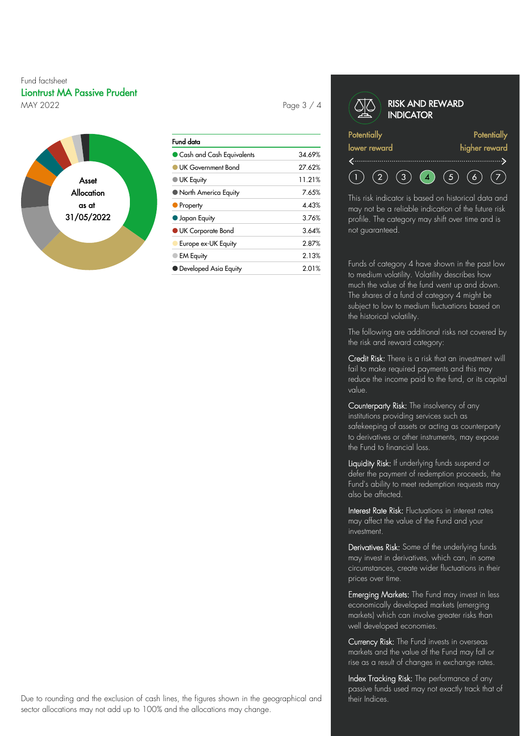# Fund factsheet Liontrust MA Passive Prudent MAY 2022 **Page 3 / 4**



| Fund data                  |        |
|----------------------------|--------|
| Cash and Cash Equivalents  | 34.69% |
| <b>UK Government Bond</b>  | 27.62% |
| <b>UK Equity</b>           | 11.21% |
| North America Equity       | 7.65%  |
| • Property                 | 4.43%  |
| <b>Japan Equity</b>        | 3.76%  |
| <b>O</b> UK Corporate Bond | 3.64%  |
| Europe ex-UK Equity        | 2.87%  |
| <b>EM Equity</b>           | 2.13%  |
| • Developed Asia Equity    | 2.01%  |

#### RISK AND REWARD **INDICATOR Potentially Potentially** lower reward higher reward

 $\binom{5}{}$  $(2)$  $(3)$  $\left( \begin{array}{c} \begin{array}{c} \end{array} \end{array} \right)$  $(6)$  $(7)$ This risk indicator is based on historical data and

may not be a reliable indication of the future risk profile. The category may shift over time and is not guaranteed.

Funds of category 4 have shown in the past low to medium volatility. Volatility describes how much the value of the fund went up and down. The shares of a fund of category 4 might be subject to low to medium fluctuations based on the historical volatility.

The following are additional risks not covered by the risk and reward category:

Credit Risk: There is a risk that an investment will fail to make required payments and this may reduce the income paid to the fund, or its capital value.

Counterparty Risk: The insolvency of any institutions providing services such as safekeeping of assets or acting as counterparty to derivatives or other instruments, may expose the Fund to financial loss.

Liquidity Risk: If underlying funds suspend or defer the payment of redemption proceeds, the Fund's ability to meet redemption requests may also be affected.

Interest Rate Risk: Fluctuations in interest rates may affect the value of the Fund and your investment.

Derivatives Risk: Some of the underlying funds may invest in derivatives, which can, in some circumstances, create wider fluctuations in their prices over time.

Emerging Markets: The Fund may invest in less economically developed markets (emerging markets) which can involve greater risks than well developed economies.

Currency Risk: The Fund invests in overseas markets and the value of the Fund may fall or rise as a result of changes in exchange rates.

Index Tracking Risk: The performance of any passive funds used may not exactly track that of their Indices.

Due to rounding and the exclusion of cash lines, the figures shown in the geographical and sector allocations may not add up to 100% and the allocations may change.